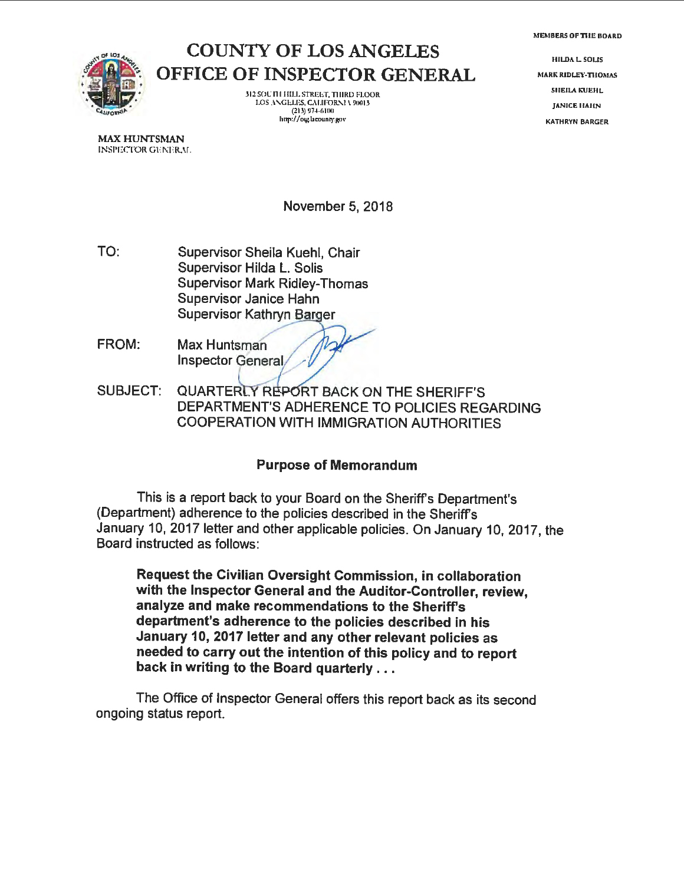

## COUNTY OF LOS ANGELES OFFICE OF INSPECTOR GENERAL

312 SOU ITI HILL STREET, THIRD FLOOR LOS ANGELES, CALIFORNI V 90013  $(213)$  974-6100 http://oig.lacounty.gov

HILDA L. SOLIS MARK RIDLEY-TIIOMAS SHEILA KUEHL **JANICE HAHN KATHRVN BARGER** 

**MAX HUNTSMAN**  INSPECTOR GUNERAL

November 5, 2018

- TO: Supervisor Sheila Kuehl, Chair Supervisor Hilda L. Solis Supervisor Mark Ridley-Thomas Supervisor Janice Hahn Supervisor Kathryn Barger
- FROM: Max Huntsman Inspector General  $\sqrt{2}$
- SUBJECT: QUARTERLY REPORT BACK ON THE SHERIFF'S DEPARTMENT'S ADHERENCE TO POLICIES REGARDING COOPERATION WITH IMMIGRATION AUTHORITIES

#### **Purpose of Memorandum**

This is a report back to your Board on the Sheriff's Department's (Department) adherence to the policies described in the Sheriff's January 10, 2017 letter and other applicable policies. On January 10, 2017, the Board instructed as follows:

**Request the Civilian Oversight Commission, in collaboration with the Inspector General and the Auditor-Controller, review, analyze and make recommendations to the Sheriff's department's adherence to the policies described** in his **January 10, 2017 letter and any other relevant policies as needed to carry out the intention of this policy and to report back in writing to the Board quarterly** ...

The Office of Inspector General offers this report back as its second ongoing status report.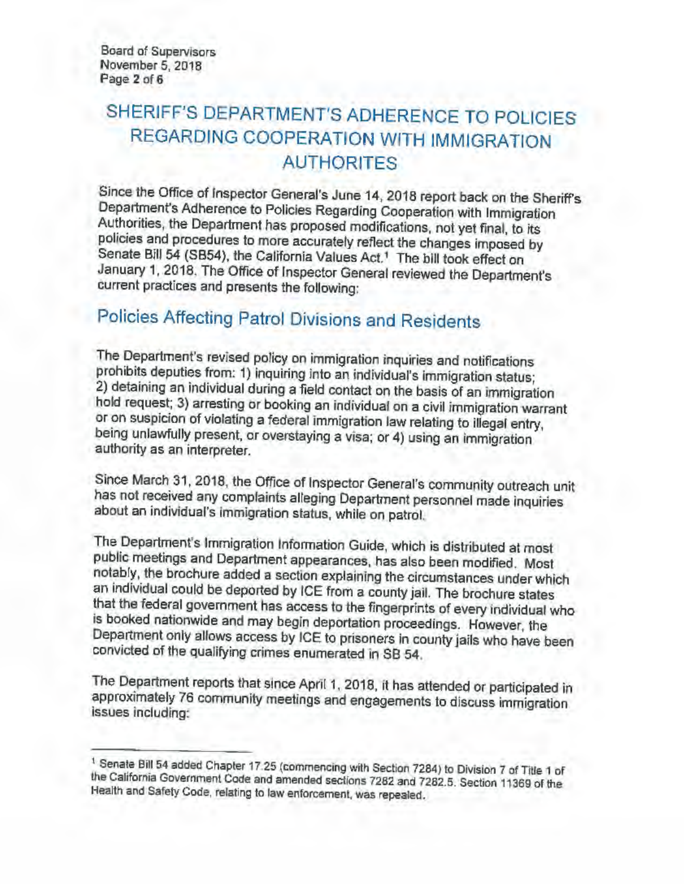Board of Supervisors November 5, 2018 Page **2** of **6** 

## SHERIFF'S DEPARTMENT'S ADHERENCE TO POLICIES REGARDING COOPERATION WITH IMMIGRATION AUTHORITES

Since the Office of Inspector General's June 14, 2018 report back on the Sheriff's Department's Adherence to Policies Regarding Cooperation with Immigration Authorities, the Department has proposed modifications, not yet final, to its policies and procedures to more accurately reflect the changes imposed by Senate Bill 54 (SB54), the California Values Act.<sup>1</sup> The bill took effect on January 1, 2018. The Office of Inspector General reviewed the Department's current practices and presents the following:

# Policies Affecting Patrol Divisions and Residents

The Department's revised policy on immigration inquiries and notifications prohibits deputies from: 1) inquiring into an individual's immigration status; 2) detaining an individual during a field contact on the basis of an immigration hold request; 3) arresting or booking an individual on a civil immigration warrant or on suspicion of violating **a** federal immigration law relating to illegal entry, being unlawfully present, or overstaying a visa; or **4)** using an immigration authority as an interpreter.

Since March 31, 2018, the Office of Inspector General's community outreach unit has not received any complaints alleging Department personnel made inquiries about an individual's immigration status, while on patrol.

The Department's Immigration Information Guide, which is distributed at most public meetings and Department appearances, has also been modified. Most notably, the brochure added a section explaining the circumstances under which an individual could be deported by ICE from a county jail. The brochure states that the federal government has access to the fingerprints of every individual who is booked nationwide and may begin deportation proceedings. However, the Department only allows access by ICE to prisoners in county jails who have been convicted of the qualifying crimes enumerated in SB 54.

The Department reports that since April 1, 2018, it has attended or participated in approximately 76 community meetings and engagements to discuss immigration issues including:

<sup>&</sup>lt;sup>1</sup> Senate Bill 54 added Chapter 17.25 (commencing with Section 7284) to Division 7 of Title 1 of the California Government Code and amended sections 7282 and 7282.5. Section 11369 of the Health and Safety Code, relating to law enforcement, was repealed.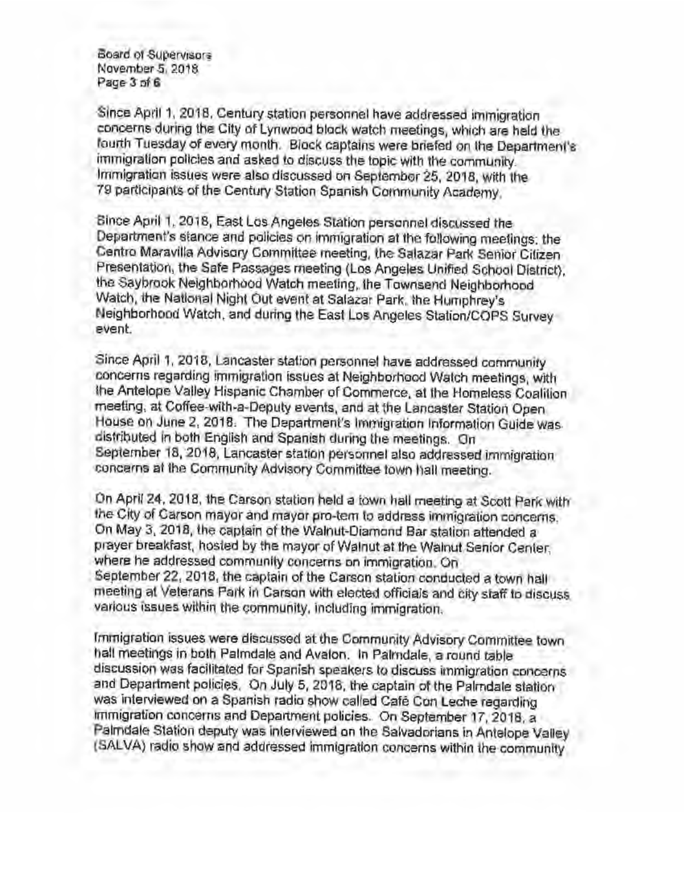Board of Supervisors November 5, 2018 Page **3 of6** 

Since April 1, 2018, Century station personnel have addressed immigration concerns during the City of Lynwood block watch meetings, which are held the fourth Tuesday of every month. Block captains were briefed on the Department's immigration policies and asked to discuss the topic with the community. Immigration issues were also discussed on September 25, 2018, with the 79 participants of the Century Station Spanish Community Academy.

Since April 1. 2018, East Los Angeles Station personnel discussed the Department's stance and policies on immigration at the following meetings: the Centro Maravilla Advisory Committee meeting, the Salazar Park Senior Citizen Presentation, the Safe Passages meeting (Los Angeles Unified School District}, the Saybrook Neighborhood Walch meeting, the Townsend Neighborhood Watch, the National Night Out event at Salazar Park. the Humphrey's Neighborhood Watch. and during the East Los Angeles Station/COPS Survey event.

Since April 1. 2018, Lancaster station personnel have addressed community concerns regarding immigration issues at Neighborhood Watch meetings, with the Antelope Valley Hispanic Chamber of Commerce, at the Homeless Coalition meeting, at Coffee-with-a-Deputy events, and at the Lancaster Station Open House on June 2, 2018. The Department's Immigration Information Guide was distributed in both English and Spanish during the meetings. On September 18, 2018, Lancaster station personnel also addressed immigration concerns at the Community Advisory Committee town hall meeting.

On April 24, 2018, the Carson station held a town hall meeting at Scott Park with the City of Carson mayor and mayor pro-tern to address immigration concerns. On May 3, 2018, the captain of the Walnut-Diamond Bar station attended a prayer breakfast, hosted by the mayor of Walnut at the Walnut Senior Center, where he addressed community concerns on immigration. On September 22, 2018, the captain of the Carson station conducted a town hall meeting at Veterans Park in Carson with elected officials and city staff to discuss various issues within the community, including immigration.

Immigration issues were discussed at the Community Advisory Committee town hall meetings in both Palmdale and Avalon. In Palmdale, a round table discussion was facilitated for Spanish speakers to discuss immigration concerns and Department policies. On July 5, 2018, the captain of the Palmdale station was interviewed on a Spanish radio show called Cafe Con Leche regarding immigration concerns and Department policies. On September 17, 2018, a Palmdale Station deputy was interviewed on the Salvadorians in Antelope Valley (SALVA) radio show and addressed immigration concerns within the community.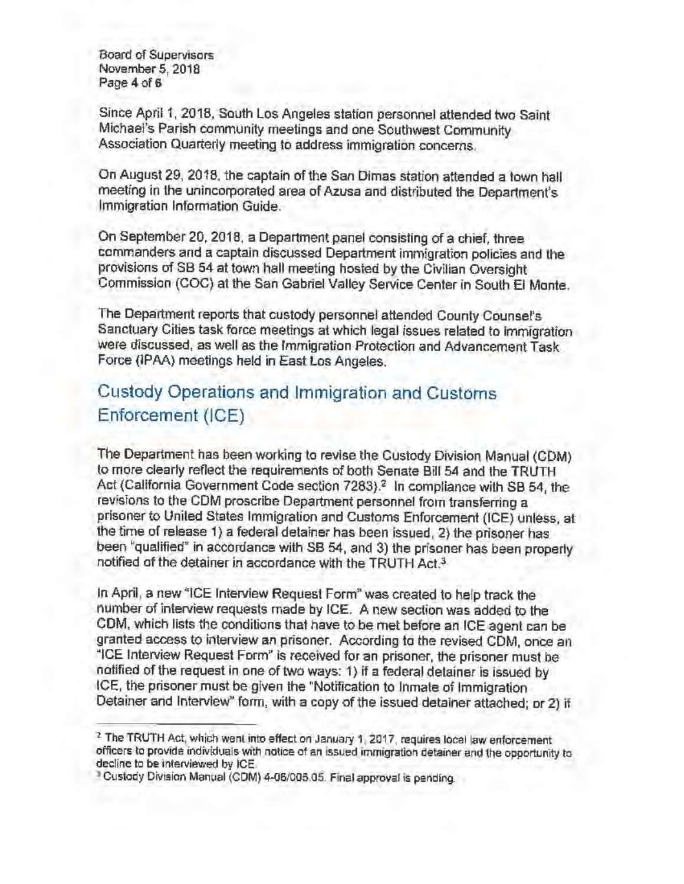Board of Supervisors November 5, 2018 Page 4 of 6

Since April 1, 2018, South Los Angeles station personnel attended two Saint Michael's Parish community meetings and one Southwest Community Association Quarterly meeting to address immigration concerns.

On August 29, 2018, the captain of the San Dimas station attended a town hall meeting in the unincorporated area of Azusa and distributed the Department's Immigration Information Guide.

On September 20, 2018, a Department panel consisting of a chief, three commanders and a captain discussed Department immigration policies and the provisions of SB 54 at town hall meeting hosted by the Civilian Oversight Commission (COC) at the San Gabriel Valley Service Center in South El Monte.

The Department reports that custody personnel attended County Counsel's Sanctuary Cities task force meetings at which legal issues related to immigration were discussed, as well as the Immigration Protection and Advancement Task Force {IPAA) meetings held in East Los Angeles.

### Custody Operations and Immigration and Customs Enforcement (ICE)

The Department has been working to revise the Custody Division Manual (CDM) to more clearly reflect the requirements of both Senate Bill 54 and the TRUTH Act (California Government Code section 7283).<sup>2</sup> In compliance with SB 54, the revisions to the COM proscribe Department personnel from transferring a prisoner to United States Immigration and Customs Enforcement (ICE) unless, at the time of release 1) a federal detainer has been issued, 2} the prisoner has been "qualified" in accordance with SB 54, and 3) the prisoner has been properly notified of the detainer in accordance with the TRUTH Act.<sup>3</sup>

In April, a new "ICE Interview Request Form" was created to help track the number of interview requests made by ICE. A new section was added to the COM, which lists the conditions that have to be met before an ICE agent can be granted access to interview *an* prisoner. According to the revised CDM, once an "ICE Interview Request Form" is received for an prisoner, the prisoner must be notified of the request in one of two ways: 1} if a federal detainer is issued by ICE, the prisoner must be given the "Notification to Inmate of Immigration Detainer and Interview" form, with a copy of the issued detainer attached; or 2) if

<sup>&</sup>lt;sup>2</sup> The TRUTH Act, which went into effect on January 1, 2017, requires local law enforcement officers to provide individuals with notice of an issued immigration detainer and the opportunity to decline to be interviewed by ICE.

<sup>3</sup> Custody Division Manual (COM) 4-06/005.05. Final approval is pending.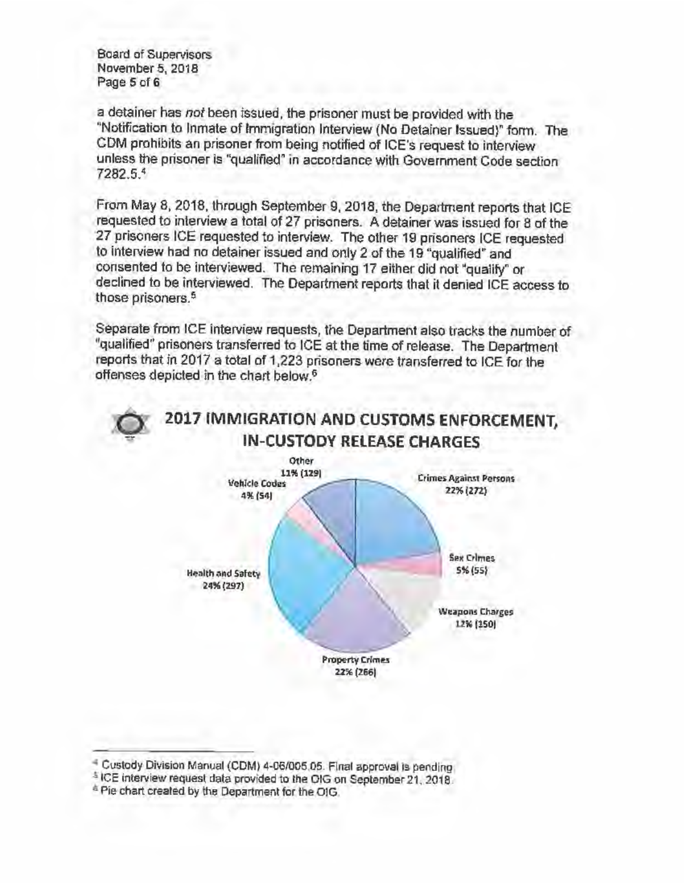Board of Supervisors November 5, 2018 Page 5 of 6

a detainer has not been issued, the prisoner must be provided with the ''Notification to Inmate of Immigration Interview (No Detainer Issued}" form. The CDM prohibits an prisoner from being notified of ICE's request to interview unless the prisoner is "qualified" in accordance with Government Code section 7282.5.<sup>4</sup>

From May 8, 2018, through September 9, 2018, the Department reports that ICE requested to interview a total of 27 prisoners. A detainer **was** issued for 8 of the 27 prisoners ICE requested to interview. The other 19 prisoners ICE requested to interview had no detainer issued and only 2 of the 19 "qualified" and consented to be interviewed. The remaining 17 either did not "qualify" or declined to be interviewed. The Department reports that it denied ICE access to those prisoners.<sup>5</sup>

Separate from ICE interview requests, the Department also tracks the number of "qualified" prisoners transferred to ICE at the time of release. The Department reports that in 2017 a total of 1,223 prisoners were transferred to ICE for the offenses depicted in the chart below.6



<sup>4</sup> Custody Division Manual (COM) 4-06/005.05. Final approval is pending.

<sup>5</sup> ICE interview request data provided to the OIG on September 21, 2018.

<sup>&</sup>lt;sup>6</sup> Pie chart created by the Department for the OIG.